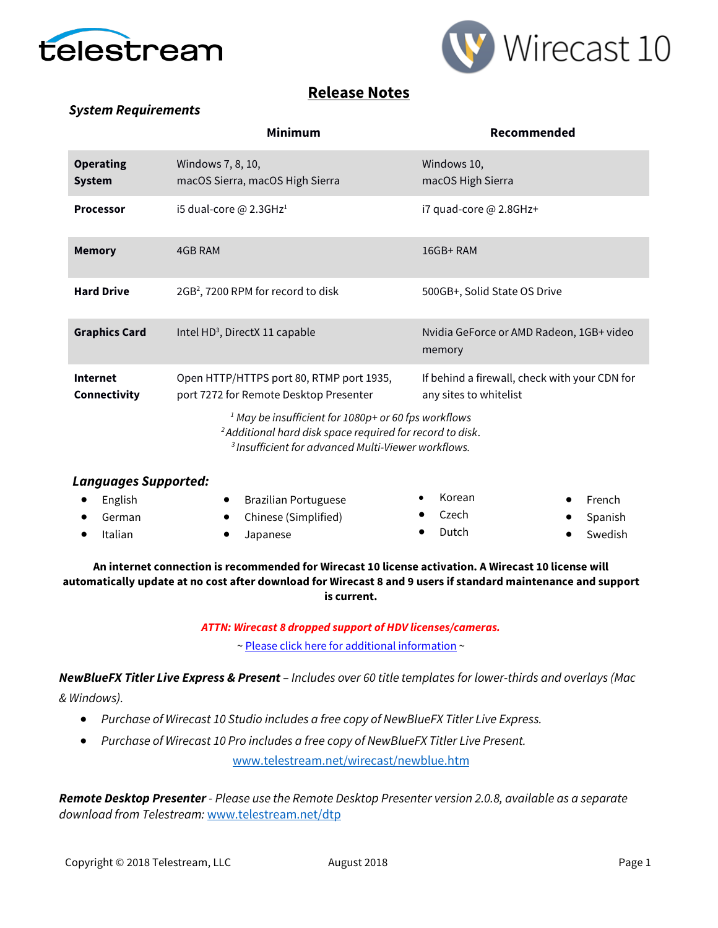



## **Release Notes**

### *System Requirements*

|                                   | <b>Minimum</b>                                                                                                                                                                                               | Recommended                                                             |  |  |  |
|-----------------------------------|--------------------------------------------------------------------------------------------------------------------------------------------------------------------------------------------------------------|-------------------------------------------------------------------------|--|--|--|
| <b>Operating</b><br><b>System</b> | Windows 7, 8, 10,<br>macOS Sierra, macOS High Sierra                                                                                                                                                         | Windows 10,<br>macOS High Sierra                                        |  |  |  |
| <b>Processor</b>                  | i5 dual-core $@$ 2.3GHz <sup>1</sup>                                                                                                                                                                         | i7 quad-core @ 2.8GHz+                                                  |  |  |  |
| <b>Memory</b>                     | 4GB RAM                                                                                                                                                                                                      | 16GB+RAM                                                                |  |  |  |
| <b>Hard Drive</b>                 | 2GB <sup>2</sup> , 7200 RPM for record to disk                                                                                                                                                               | 500GB+, Solid State OS Drive                                            |  |  |  |
| <b>Graphics Card</b>              | Intel HD <sup>3</sup> , DirectX 11 capable                                                                                                                                                                   | Nvidia GeForce or AMD Radeon, 1GB+ video<br>memory                      |  |  |  |
| <b>Internet</b><br>Connectivity   | Open HTTP/HTTPS port 80, RTMP port 1935,<br>port 7272 for Remote Desktop Presenter                                                                                                                           | If behind a firewall, check with your CDN for<br>any sites to whitelist |  |  |  |
|                                   | <sup>1</sup> May be insufficient for $1080p$ + or 60 fps workflows<br><sup>2</sup> Additional hard disk space required for record to disk.<br><sup>3</sup> Insufficient for advanced Multi-Viewer workflows. |                                                                         |  |  |  |

| <b>Languages Supported:</b> |                             |        |           |
|-----------------------------|-----------------------------|--------|-----------|
| English<br>$\bullet$        | <b>Brazilian Portuguese</b> | Korean | French    |
| German                      | • Chinese (Simplified)      | Czech  | • Spanish |
| Italian                     | Japanese                    | Dutch  | Swedish   |
|                             |                             |        |           |

**An internet connection is recommended for Wirecast 10 license activation. A Wirecast 10 license will automatically update at no cost after download for Wirecast 8 and 9 users if standard maintenance and support is current.**

> *ATTN: Wirecast 8 dropped support of HDV licenses/cameras.*  [~ Please click here for additional information](http://www.telestream.net/telestream-support/wire-cast/faq.htm?kbURL=http://telestream.force.com/kb/articles/Knowledge_Article/Wirecast-HDV-Firewire-No-longer-Supported/) ~

*NewBlueFX Titler Live Express & Present – Includes over 60 title templates for lower-thirds and overlays (Mac & Windows).*

- *Purchase of Wirecast 10 Studio includes a free copy of NewBlueFX Titler Live Express.*
- *Purchase of Wirecast 10 Pro includes a free copy of NewBlueFX Titler Live Present.*

[www.telestream.net/wirecast/newblue.htm](http://www.telestream.net/wirecast/newblue.htm)

*Remote Desktop Presenter - Please use the Remote Desktop Presenter version 2.0.8, available as a separate download from Telestream:* [www.telestream.net/dtp](http://www.telestream.net/dtp)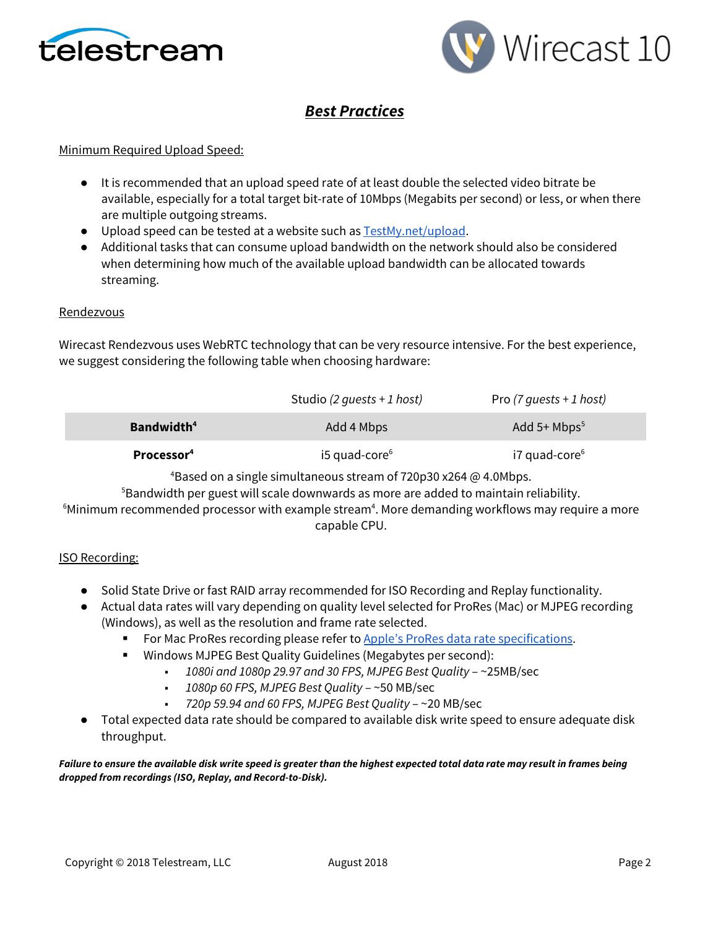



# *Best Practices*

#### Minimum Required Upload Speed:

- It is recommended that an upload speed rate of at least double the selected video bitrate be available, especially for a total target bit-rate of 10Mbps (Megabits per second) or less, or when there are multiple outgoing streams.
- Upload speed can be tested at a website such as [TestMy.net/upload.](http://testmy.net/upload)
- Additional tasks that can consume upload bandwidth on the network should also be considered when determining how much of the available upload bandwidth can be allocated towards streaming.

#### Rendezvous

Wirecast Rendezvous uses WebRTC technology that can be very resource intensive. For the best experience, we suggest considering the following table when choosing hardware:

|                        | Studio (2 guests + 1 host) | Pro (7 guests + 1 host) |
|------------------------|----------------------------|-------------------------|
| Bandwidth <sup>4</sup> | Add 4 Mbps                 | Add $5+$ Mbps $5$       |
| Processor <sup>4</sup> | $i5$ quad-core $6$         | $i7$ quad-core $6$      |

4 Based on a single simultaneous stream of 720p30 x264 @ 4.0Mbps.

5 Bandwidth per guest will scale downwards as more are added to maintain reliability.

 $^6$ Minimum recommended processor with example stream $^4$ . More demanding workflows may require a more capable CPU.

#### ISO Recording:

- Solid State Drive or fast RAID array recommended for ISO Recording and Replay functionality.
- Actual data rates will vary depending on quality level selected for ProRes (Mac) or MJPEG recording (Windows), as well as the resolution and frame rate selected.
	- For Mac ProRes recording please refer t[o Apple's ProRes data rate specifications.](https://documentation.apple.com/en/finalcutpro/professionalformatsandworkflows/index.html)
	- Windows MJPEG Best Quality Guidelines (Megabytes per second):
		- *1080i and 1080p 29.97 and 30 FPS, MJPEG Best Quality* ~25MB/sec
		- *1080p 60 FPS, MJPEG Best Quality* ~50 MB/sec
		- *720p 59.94 and 60 FPS, MJPEG Best Quality* ~20 MB/sec
- Total expected data rate should be compared to available disk write speed to ensure adequate disk throughput.

*Failure to ensure the available disk write speed is greater than the highest expected total data rate may result in frames being dropped from recordings (ISO, Replay, and Record-to-Disk).*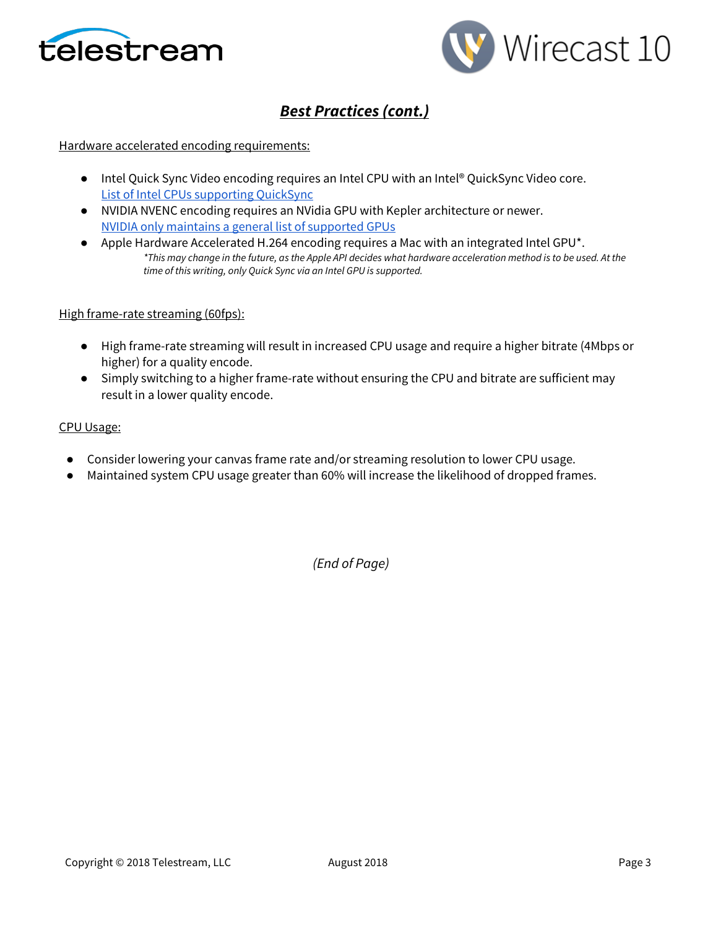



# *Best Practices (cont.)*

#### Hardware accelerated encoding requirements:

- Intel Quick Sync Video encoding requires an Intel CPU with an Intel® QuickSync Video core[.](http://ark.intel.com/search/advanced?QuickSyncVideo=true&MarketSegment=DT) [List of Intel CPUs supporting QuickSync](http://ark.intel.com/search/advanced?QuickSyncVideo=true&MarketSegment=DT)
- NVIDIA NVENC encoding requires an NVidia GPU with Kepler architecture or newer[.](https://developer.nvidia.com/nvidia-video-codec-sdk) [NVIDIA only maintains a general list of supported GPUs](https://developer.nvidia.com/nvidia-video-codec-sdk)
- Apple Hardware Accelerated H.264 encoding requires a Mac with an integrated Intel GPU\*. *\*This may change in the future, as the Apple API decides what hardware acceleration method is to be used. At the time of this writing, only Quick Sync via an Intel GPU is supported.*

#### High frame-rate streaming (60fps):

- High frame-rate streaming will result in increased CPU usage and require a higher bitrate (4Mbps or higher) for a quality encode.
- Simply switching to a higher frame-rate without ensuring the CPU and bitrate are sufficient may result in a lower quality encode.

#### CPU Usage:

- Consider lowering your canvas frame rate and/or streaming resolution to lower CPU usage.
- Maintained system CPU usage greater than 60% will increase the likelihood of dropped frames.

*(End of Page)*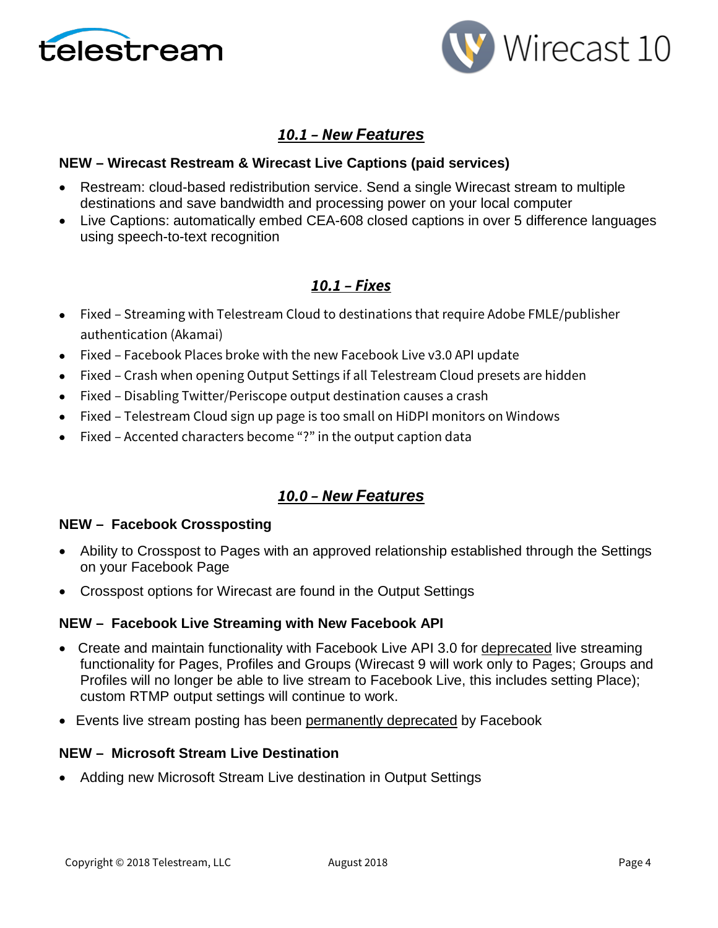



## *10.1 – New Features*

### **NEW – Wirecast Restream & Wirecast Live Captions (paid services)**

- Restream: cloud-based redistribution service. Send a single Wirecast stream to multiple destinations and save bandwidth and processing power on your local computer
- Live Captions: automatically embed CEA-608 closed captions in over 5 difference languages using speech-to-text recognition

## *10.1 – Fixes*

- Fixed Streaming with Telestream Cloud to destinations that require Adobe FMLE/publisher authentication (Akamai)
- Fixed Facebook Places broke with the new Facebook Live v3.0 API update
- Fixed Crash when opening Output Settings if all Telestream Cloud presets are hidden
- Fixed Disabling Twitter/Periscope output destination causes a crash
- Fixed Telestream Cloud sign up page is too small on HiDPI monitors on Windows
- Fixed Accented characters become "?" in the output caption data

## *10.0 – New Features*

### **NEW – Facebook Crossposting**

- Ability to Crosspost to Pages with an approved relationship established through the Settings on your Facebook Page
- Crosspost options for Wirecast are found in the Output Settings

### **NEW – Facebook Live Streaming with New Facebook API**

- Create and maintain functionality with Facebook Live API 3.0 for deprecated live streaming functionality for Pages, Profiles and Groups (Wirecast 9 will work only to Pages; Groups and Profiles will no longer be able to live stream to Facebook Live, this includes setting Place); custom RTMP output settings will continue to work.
- Events live stream posting has been permanently deprecated by Facebook

### **NEW – Microsoft Stream Live Destination**

• Adding new Microsoft Stream Live destination in Output Settings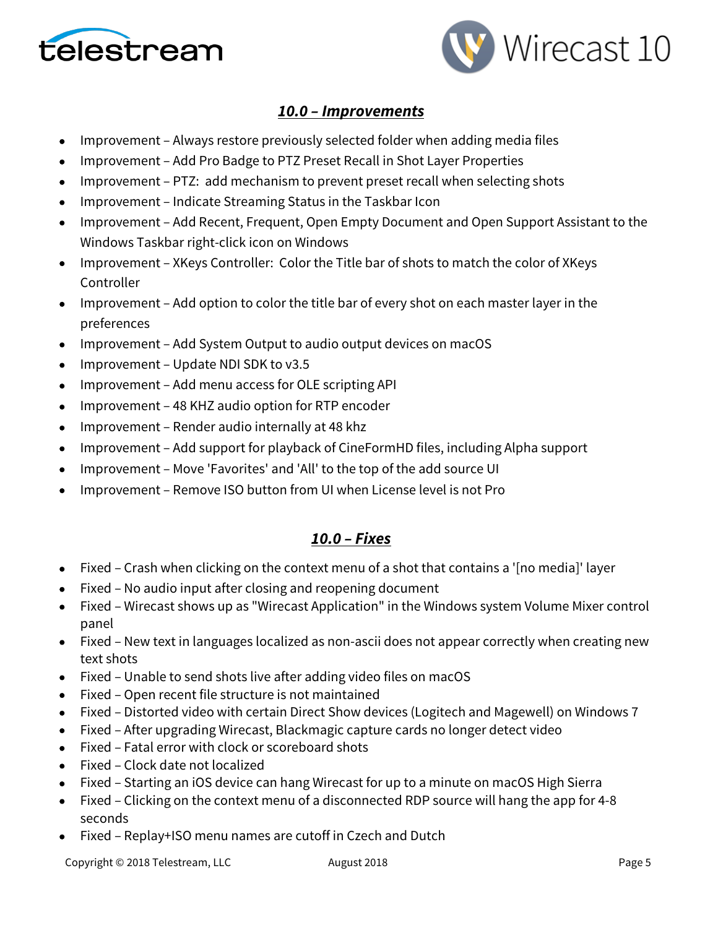



## *10.0 – Improvements*

- Improvement Always restore previously selected folder when adding media files
- Improvement Add Pro Badge to PTZ Preset Recall in Shot Layer Properties
- Improvement PTZ: add mechanism to prevent preset recall when selecting shots
- Improvement Indicate Streaming Status in the Taskbar Icon
- Improvement Add Recent, Frequent, Open Empty Document and Open Support Assistant to the Windows Taskbar right-click icon on Windows
- Improvement XKeys Controller: Color the Title bar of shots to match the color of XKeys Controller
- Improvement Add option to color the title bar of every shot on each master layer in the preferences
- Improvement Add System Output to audio output devices on macOS
- Improvement Update NDI SDK to v3.5
- Improvement Add menu access for OLE scripting API
- Improvement 48 KHZ audio option for RTP encoder
- Improvement Render audio internally at 48 khz
- Improvement Add support for playback of CineFormHD files, including Alpha support
- Improvement Move 'Favorites' and 'All' to the top of the add source UI
- Improvement Remove ISO button from UI when License level is not Pro

## *10.0 – Fixes*

- Fixed Crash when clicking on the context menu of a shot that contains a '[no media]' layer
- Fixed No audio input after closing and reopening document
- Fixed Wirecast shows up as "Wirecast Application" in the Windows system Volume Mixer control panel
- Fixed New text in languages localized as non-ascii does not appear correctly when creating new text shots
- Fixed Unable to send shots live after adding video files on macOS
- Fixed Open recent file structure is not maintained
- Fixed Distorted video with certain Direct Show devices (Logitech and Magewell) on Windows 7
- Fixed After upgrading Wirecast, Blackmagic capture cards no longer detect video
- Fixed Fatal error with clock or scoreboard shots
- Fixed Clock date not localized
- Fixed Starting an iOS device can hang Wirecast for up to a minute on macOS High Sierra
- Fixed Clicking on the context menu of a disconnected RDP source will hang the app for 4-8 seconds
- Fixed Replay+ISO menu names are cutoff in Czech and Dutch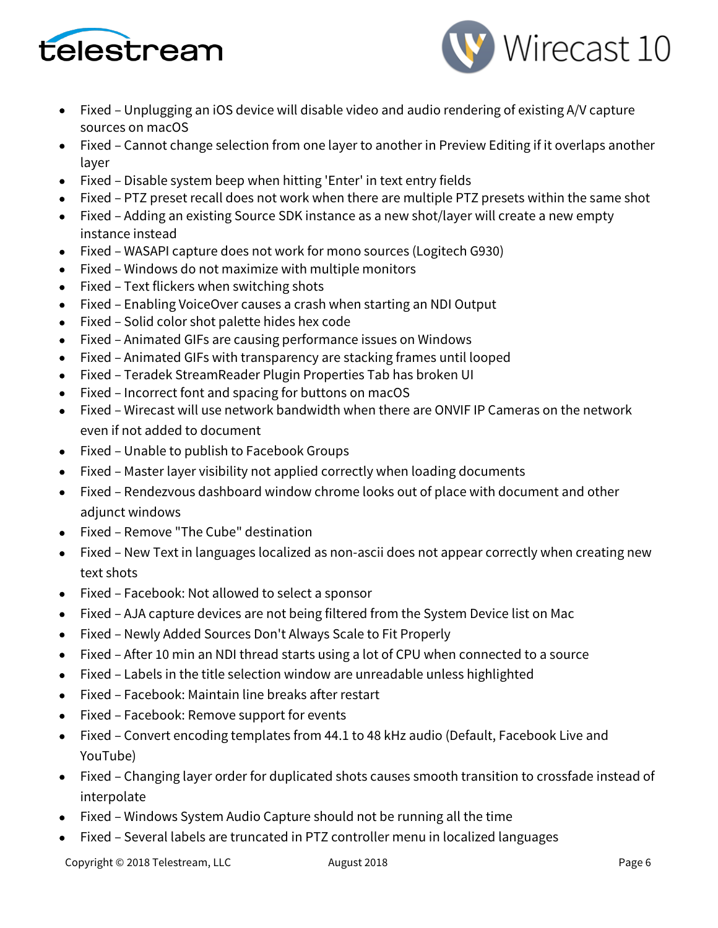



- Fixed Unplugging an iOS device will disable video and audio rendering of existing A/V capture sources on macOS
- Fixed Cannot change selection from one layer to another in Preview Editing if it overlaps another layer
- Fixed Disable system beep when hitting 'Enter' in text entry fields
- Fixed PTZ preset recall does not work when there are multiple PTZ presets within the same shot
- Fixed Adding an existing Source SDK instance as a new shot/layer will create a new empty instance instead
- Fixed WASAPI capture does not work for mono sources (Logitech G930)
- Fixed Windows do not maximize with multiple monitors
- Fixed Text flickers when switching shots
- Fixed Enabling VoiceOver causes a crash when starting an NDI Output
- Fixed Solid color shot palette hides hex code
- Fixed Animated GIFs are causing performance issues on Windows
- Fixed Animated GIFs with transparency are stacking frames until looped
- Fixed Teradek StreamReader Plugin Properties Tab has broken UI
- Fixed Incorrect font and spacing for buttons on macOS
- Fixed Wirecast will use network bandwidth when there are ONVIF IP Cameras on the network even if not added to document
- Fixed Unable to publish to Facebook Groups
- Fixed Master layer visibility not applied correctly when loading documents
- Fixed Rendezvous dashboard window chrome looks out of place with document and other adjunct windows
- Fixed Remove "The Cube" destination
- Fixed New Text in languages localized as non-ascii does not appear correctly when creating new text shots
- Fixed Facebook: Not allowed to select a sponsor
- Fixed AJA capture devices are not being filtered from the System Device list on Mac
- Fixed Newly Added Sources Don't Always Scale to Fit Properly
- Fixed After 10 min an NDI thread starts using a lot of CPU when connected to a source
- Fixed Labels in the title selection window are unreadable unless highlighted
- Fixed Facebook: Maintain line breaks after restart
- Fixed Facebook: Remove support for events
- Fixed Convert encoding templates from 44.1 to 48 kHz audio (Default, Facebook Live and YouTube)
- Fixed Changing layer order for duplicated shots causes smooth transition to crossfade instead of interpolate
- Fixed Windows System Audio Capture should not be running all the time
- Fixed Several labels are truncated in PTZ controller menu in localized languages